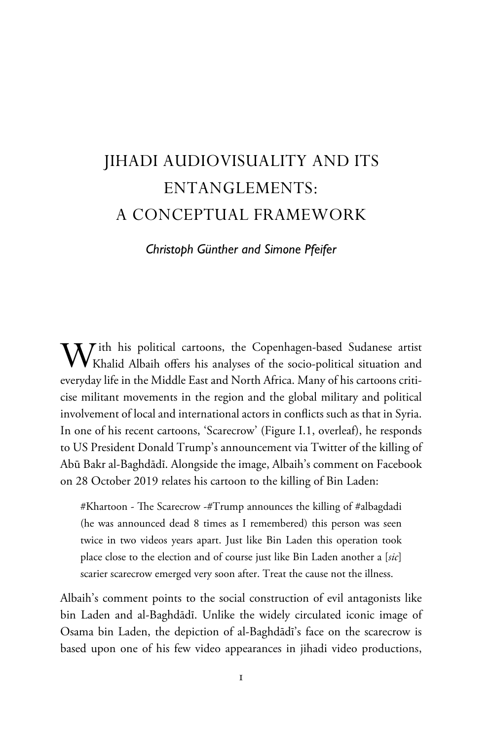# JIHADI AUDIOVISUALITY AND ITS ENTANGLEMENTS: A CONCEPTUAL FRAMEWORK

*Christoph Günther and Simone Pfeifer*

With his political cartoons, the Copenhagen-based Sudanese artist Khalid Albaih offers his analyses of the socio-political situation and everyday life in the Middle East and North Africa. Many of his cartoons criticise militant movements in the region and the global military and political involvement of local and international actors in conflicts such as that in Syria. In one of his recent cartoons, 'Scarecrow' (Figure I.1, overleaf), he responds to US President Donald Trump's announcement via Twitter of the killing of Abū Bakr al-Baghdādī. Alongside the image, Albaih's comment on Facebook on 28 October 2019 relates his cartoon to the killing of Bin Laden:

#Khartoon - The Scarecrow -#Trump announces the killing of #albagdadi (he was announced dead 8 times as I remembered) this person was seen twice in two videos years apart. Just like Bin Laden this operation took place close to the election and of course just like Bin Laden another a [*sic*] scarier scarecrow emerged very soon after. Treat the cause not the illness.

Albaih's comment points to the social construction of evil antagonists like bin Laden and al-Baghdādī. Unlike the widely circulated iconic image of Osama bin Laden, the depiction of al-Baghdādī's face on the scarecrow is based upon one of his few video appearances in jihadi video productions,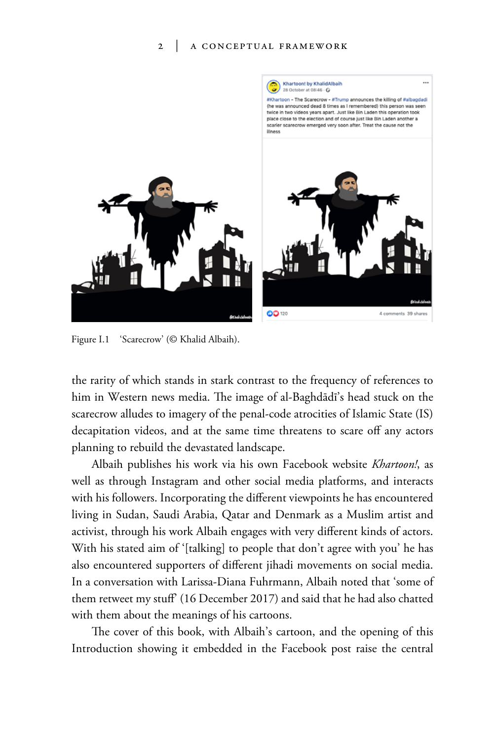#### 2 | a conceptual framework



Figure I.1 'Scarecrow' (© Khalid Albaih).

the rarity of which stands in stark contrast to the frequency of references to him in Western news media. The image of al-Baghdādī's head stuck on the scarecrow alludes to imagery of the penal-code atrocities of Islamic State (IS) decapitation videos, and at the same time threatens to scare off any actors planning to rebuild the devastated landscape.

Albaih publishes his work via his own Facebook website *Khartoon!*, as well as through Instagram and other social media platforms, and interacts with his followers. Incorporating the different viewpoints he has encountered living in Sudan, Saudi Arabia, Qatar and Denmark as a Muslim artist and activist, through his work Albaih engages with very different kinds of actors. With his stated aim of '[talking] to people that don't agree with you' he has also encountered supporters of different jihadi movements on social media. In a conversation with Larissa-Diana Fuhrmann, Albaih noted that 'some of them retweet my stuff' (16 December 2017) and said that he had also chatted with them about the meanings of his cartoons.

The cover of this book, with Albaih's cartoon, and the opening of this Introduction showing it embedded in the Facebook post raise the central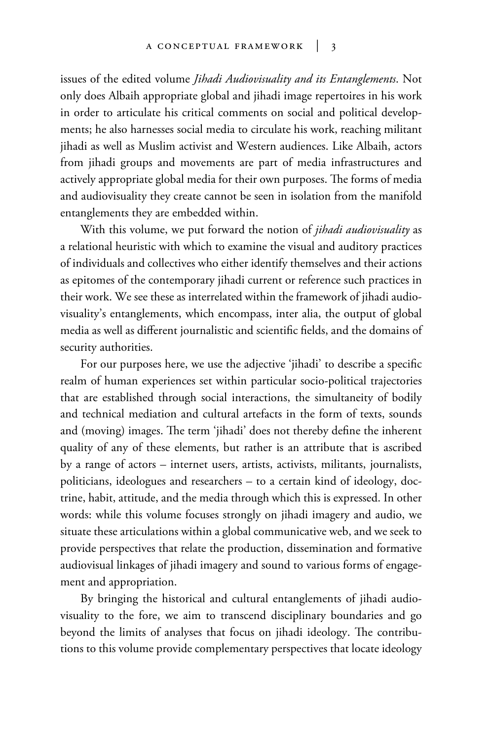issues of the edited volume *Jihadi Audiovisuality and its Entanglements*. Not only does Albaih appropriate global and jihadi image repertoires in his work in order to articulate his critical comments on social and political developments; he also harnesses social media to circulate his work, reaching militant jihadi as well as Muslim activist and Western audiences. Like Albaih, actors from jihadi groups and movements are part of media infrastructures and actively appropriate global media for their own purposes. The forms of media and audiovisuality they create cannot be seen in isolation from the manifold entanglements they are embedded within.

With this volume, we put forward the notion of *jihadi audiovisuality* as a relational heuristic with which to examine the visual and auditory practices of individuals and collectives who either identify themselves and their actions as epitomes of the contemporary jihadi current or reference such practices in their work. We see these as interrelated within the framework of jihadi audiovisuality's entanglements, which encompass, inter alia, the output of global media as well as different journalistic and scientific fields, and the domains of security authorities.

For our purposes here, we use the adjective 'jihadi' to describe a specific realm of human experiences set within particular socio-political trajectories that are established through social interactions, the simultaneity of bodily and technical mediation and cultural artefacts in the form of texts, sounds and (moving) images. The term 'jihadi' does not thereby define the inherent quality of any of these elements, but rather is an attribute that is ascribed by a range of actors – internet users, artists, activists, militants, journalists, politicians, ideologues and researchers – to a certain kind of ideology, doctrine, habit, attitude, and the media through which this is expressed. In other words: while this volume focuses strongly on jihadi imagery and audio, we situate these articulations within a global communicative web, and we seek to provide perspectives that relate the production, dissemination and formative audiovisual linkages of jihadi imagery and sound to various forms of engagement and appropriation.

By bringing the historical and cultural entanglements of jihadi audiovisuality to the fore, we aim to transcend disciplinary boundaries and go beyond the limits of analyses that focus on jihadi ideology. The contributions to this volume provide complementary perspectives that locate ideology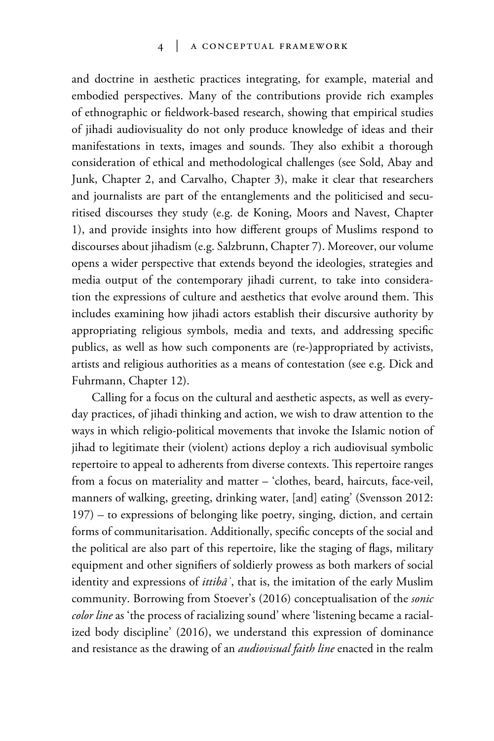#### 4 | a conceptual framework

and doctrine in aesthetic practices integrating, for example, material and embodied perspectives. Many of the contributions provide rich examples of ethnographic or fieldwork-based research, showing that empirical studies of jihadi audiovisuality do not only produce knowledge of ideas and their manifestations in texts, images and sounds. They also exhibit a thorough consideration of ethical and methodological challenges (see Sold, Abay and Junk, Chapter 2, and Carvalho, Chapter 3), make it clear that researchers and journalists are part of the entanglements and the politicised and securitised discourses they study (e.g. de Koning, Moors and Navest, Chapter 1), and provide insights into how different groups of Muslims respond to discourses about jihadism (e.g. Salzbrunn, Chapter 7). Moreover, our volume opens a wider perspective that extends beyond the ideologies, strategies and media output of the contemporary jihadi current, to take into consideration the expressions of culture and aesthetics that evolve around them. This includes examining how jihadi actors establish their discursive authority by appropriating religious symbols, media and texts, and addressing specific publics, as well as how such components are (re-)appropriated by activists, artists and religious authorities as a means of contestation (see e.g. Dick and Fuhrmann, Chapter 12).

Calling for a focus on the cultural and aesthetic aspects, as well as everyday practices, of jihadi thinking and action, we wish to draw attention to the ways in which religio-political movements that invoke the Islamic notion of jihad to legitimate their (violent) actions deploy a rich audiovisual symbolic repertoire to appeal to adherents from diverse contexts. This repertoire ranges from a focus on materiality and matter – 'clothes, beard, haircuts, face-veil, manners of walking, greeting, drinking water, [and] eating' (Svensson 2012: 197) – to expressions of belonging like poetry, singing, diction, and certain forms of communitarisation. Additionally, specific concepts of the social and the political are also part of this repertoire, like the staging of flags, military equipment and other signifiers of soldierly prowess as both markers of social identity and expressions of *ittibāʾ*, that is, the imitation of the early Muslim community. Borrowing from Stoever's (2016) conceptualisation of the *sonic color line* as 'the process of racializing sound' where 'listening became a racialized body discipline' (2016), we understand this expression of dominance and resistance as the drawing of an *audiovisual faith line* enacted in the realm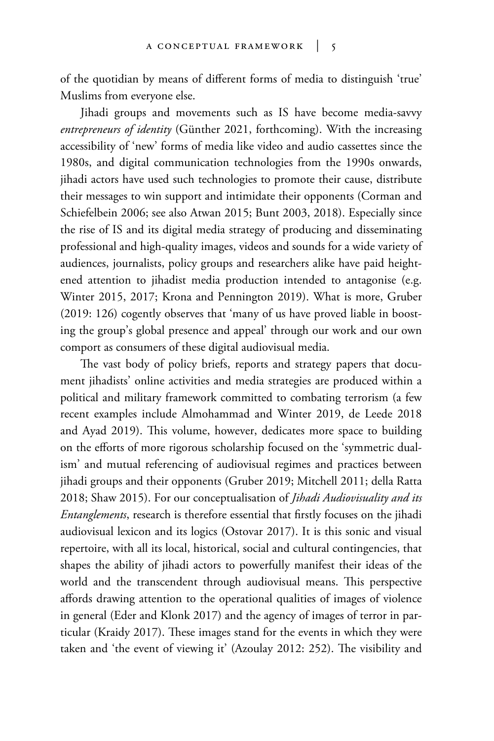of the quotidian by means of different forms of media to distinguish 'true' Muslims from everyone else.

Jihadi groups and movements such as IS have become media-savvy *entrepreneurs of identity* (Günther 2021, forthcoming). With the increasing accessibility of 'new' forms of media like video and audio cassettes since the 1980s, and digital communication technologies from the 1990s onwards, jihadi actors have used such technologies to promote their cause, distribute their messages to win support and intimidate their opponents (Corman and Schiefelbein 2006; see also Atwan 2015; Bunt 2003, 2018). Especially since the rise of IS and its digital media strategy of producing and disseminating professional and high-quality images, videos and sounds for a wide variety of audiences, journalists, policy groups and researchers alike have paid heightened attention to jihadist media production intended to antagonise (e.g. Winter 2015, 2017; Krona and Pennington 2019). What is more, Gruber (2019: 126) cogently observes that 'many of us have proved liable in boosting the group's global presence and appeal' through our work and our own comport as consumers of these digital audiovisual media.

The vast body of policy briefs, reports and strategy papers that document jihadists' online activities and media strategies are produced within a political and military framework committed to combating terrorism (a few recent examples include Almohammad and Winter 2019, de Leede 2018 and Ayad 2019). This volume, however, dedicates more space to building on the efforts of more rigorous scholarship focused on the 'symmetric dualism' and mutual referencing of audiovisual regimes and practices between jihadi groups and their opponents (Gruber 2019; Mitchell 2011; della Ratta 2018; Shaw 2015). For our conceptualisation of *Jihadi Audiovisuality and its Entanglements*, research is therefore essential that firstly focuses on the jihadi audiovisual lexicon and its logics (Ostovar 2017). It is this sonic and visual repertoire, with all its local, historical, social and cultural contingencies, that shapes the ability of jihadi actors to powerfully manifest their ideas of the world and the transcendent through audiovisual means. This perspective affords drawing attention to the operational qualities of images of violence in general (Eder and Klonk 2017) and the agency of images of terror in particular (Kraidy 2017). These images stand for the events in which they were taken and 'the event of viewing it' (Azoulay 2012: 252). The visibility and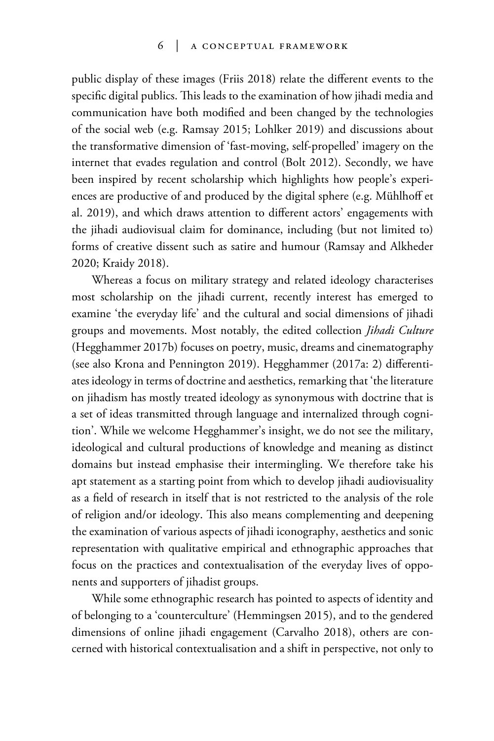#### 6 | a conceptual framework

public display of these images (Friis 2018) relate the different events to the specific digital publics. This leads to the examination of how jihadi media and communication have both modified and been changed by the technologies of the social web (e.g. Ramsay 2015; Lohlker 2019) and discussions about the transformative dimension of 'fast-moving, self-propelled' imagery on the internet that evades regulation and control (Bolt 2012). Secondly, we have been inspired by recent scholarship which highlights how people's experiences are productive of and produced by the digital sphere (e.g. Mühlhoff et al. 2019), and which draws attention to different actors' engagements with the jihadi audiovisual claim for dominance, including (but not limited to) forms of creative dissent such as satire and humour (Ramsay and Alkheder 2020; Kraidy 2018).

Whereas a focus on military strategy and related ideology characterises most scholarship on the jihadi current, recently interest has emerged to examine 'the everyday life' and the cultural and social dimensions of jihadi groups and movements. Most notably, the edited collection *Jihadi Culture*  (Hegghammer 2017b) focuses on poetry, music, dreams and cinematography (see also Krona and Pennington 2019). Hegghammer (2017a: 2) differentiates ideology in terms of doctrine and aesthetics, remarking that 'the literature on jihadism has mostly treated ideology as synonymous with doctrine that is a set of ideas transmitted through language and internalized through cognition'. While we welcome Hegghammer's insight, we do not see the military, ideological and cultural productions of knowledge and meaning as distinct domains but instead emphasise their intermingling. We therefore take his apt statement as a starting point from which to develop jihadi audiovisuality as a field of research in itself that is not restricted to the analysis of the role of religion and/or ideology. This also means complementing and deepening the examination of various aspects of jihadi iconography, aesthetics and sonic representation with qualitative empirical and ethnographic approaches that focus on the practices and contextualisation of the everyday lives of opponents and supporters of jihadist groups.

While some ethnographic research has pointed to aspects of identity and of belonging to a 'counterculture' (Hemmingsen 2015), and to the gendered dimensions of online jihadi engagement (Carvalho 2018), others are concerned with historical contextualisation and a shift in perspective, not only to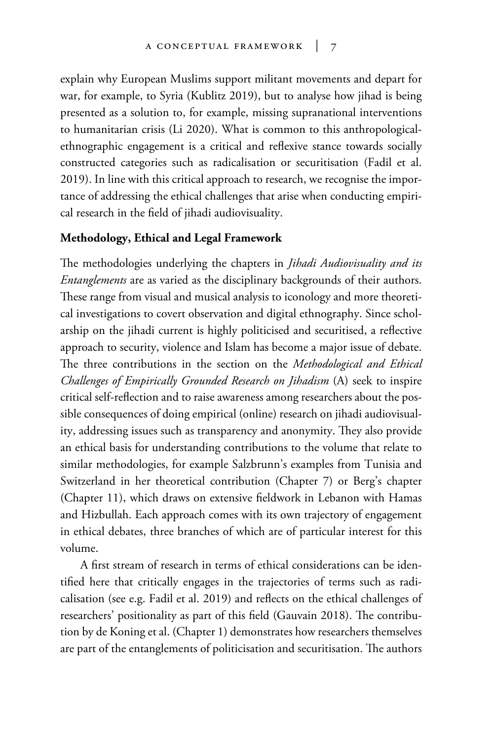explain why European Muslims support militant movements and depart for war, for example, to Syria (Kublitz 2019), but to analyse how jihad is being presented as a solution to, for example, missing supranational interventions to humanitarian crisis (Li 2020). What is common to this anthropologicalethnographic engagement is a critical and reflexive stance towards socially constructed categories such as radicalisation or securitisation (Fadil et al. 2019). In line with this critical approach to research, we recognise the importance of addressing the ethical challenges that arise when conducting empirical research in the field of jihadi audiovisuality.

## **Methodology, Ethical and Legal Framework**

The methodologies underlying the chapters in *Jihadi Audiovisuality and its Entanglements* are as varied as the disciplinary backgrounds of their authors. These range from visual and musical analysis to iconology and more theoretical investigations to covert observation and digital ethnography. Since scholarship on the jihadi current is highly politicised and securitised, a reflective approach to security, violence and Islam has become a major issue of debate. The three contributions in the section on the *Methodological and Ethical Challenges of Empirically Grounded Research on Jihadism* (A) seek to inspire critical self-reflection and to raise awareness among researchers about the possible consequences of doing empirical (online) research on jihadi audiovisuality, addressing issues such as transparency and anonymity. They also provide an ethical basis for understanding contributions to the volume that relate to similar methodologies, for example Salzbrunn's examples from Tunisia and Switzerland in her theoretical contribution (Chapter 7) or Berg's chapter (Chapter 11), which draws on extensive fieldwork in Lebanon with Hamas and Hizbullah. Each approach comes with its own trajectory of engagement in ethical debates, three branches of which are of particular interest for this volume.

A first stream of research in terms of ethical considerations can be identified here that critically engages in the trajectories of terms such as radicalisation (see e.g. Fadil et al. 2019) and reflects on the ethical challenges of researchers' positionality as part of this field (Gauvain 2018). The contribution by de Koning et al. (Chapter 1) demonstrates how researchers themselves are part of the entanglements of politicisation and securitisation. The authors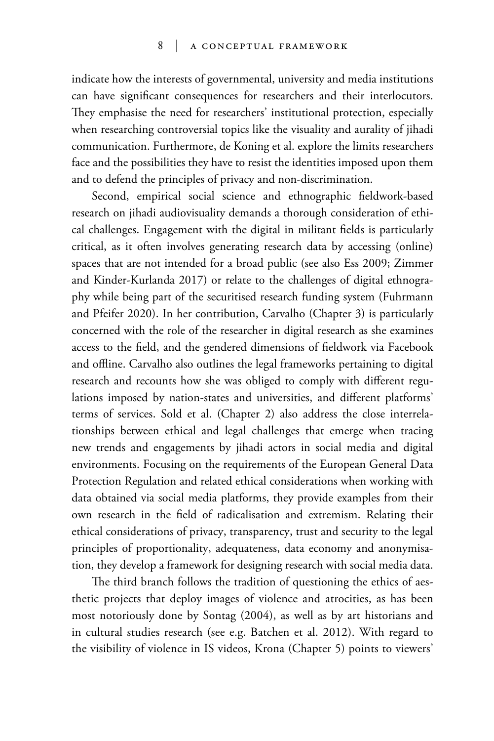indicate how the interests of governmental, university and media institutions can have significant consequences for researchers and their interlocutors. They emphasise the need for researchers' institutional protection, especially when researching controversial topics like the visuality and aurality of jihadi communication. Furthermore, de Koning et al. explore the limits researchers face and the possibilities they have to resist the identities imposed upon them and to defend the principles of privacy and non-discrimination.

Second, empirical social science and ethnographic fieldwork-based research on jihadi audiovisuality demands a thorough consideration of ethical challenges. Engagement with the digital in militant fields is particularly critical, as it often involves generating research data by accessing (online) spaces that are not intended for a broad public (see also Ess 2009; Zimmer and Kinder-Kurlanda 2017) or relate to the challenges of digital ethnography while being part of the securitised research funding system (Fuhrmann and Pfeifer 2020). In her contribution, Carvalho (Chapter 3) is particularly concerned with the role of the researcher in digital research as she examines access to the field, and the gendered dimensions of fieldwork via Facebook and offline. Carvalho also outlines the legal frameworks pertaining to digital research and recounts how she was obliged to comply with different regulations imposed by nation-states and universities, and different platforms' terms of services. Sold et al. (Chapter 2) also address the close interrelationships between ethical and legal challenges that emerge when tracing new trends and engagements by jihadi actors in social media and digital environments. Focusing on the requirements of the European General Data Protection Regulation and related ethical considerations when working with data obtained via social media platforms, they provide examples from their own research in the field of radicalisation and extremism. Relating their ethical considerations of privacy, transparency, trust and security to the legal principles of proportionality, adequateness, data economy and anonymisation, they develop a framework for designing research with social media data.

The third branch follows the tradition of questioning the ethics of aesthetic projects that deploy images of violence and atrocities, as has been most notoriously done by Sontag (2004), as well as by art historians and in cultural studies research (see e.g. Batchen et al. 2012). With regard to the visibility of violence in IS videos, Krona (Chapter 5) points to viewers'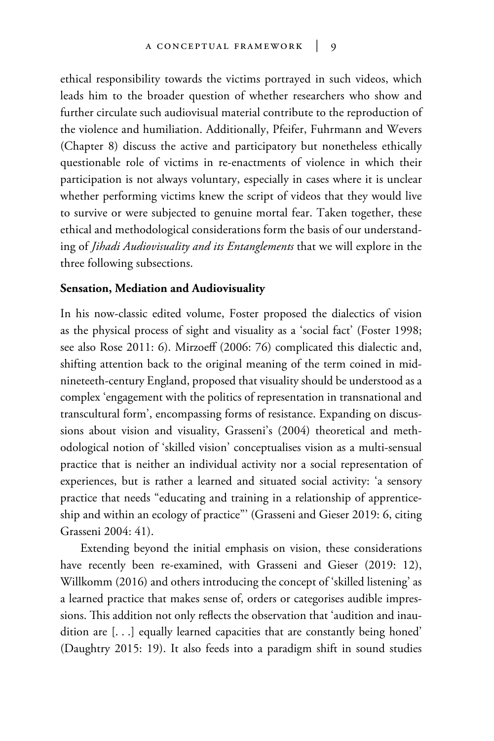ethical responsibility towards the victims portrayed in such videos, which leads him to the broader question of whether researchers who show and further circulate such audiovisual material contribute to the reproduction of the violence and humiliation. Additionally, Pfeifer, Fuhrmann and Wevers (Chapter 8) discuss the active and participatory but nonetheless ethically questionable role of victims in re-enactments of violence in which their participation is not always voluntary, especially in cases where it is unclear whether performing victims knew the script of videos that they would live to survive or were subjected to genuine mortal fear. Taken together, these ethical and methodological considerations form the basis of our understanding of *Jihadi Audiovisuality and its Entanglements* that we will explore in the three following subsections.

## **Sensation, Mediation and Audiovisuality**

In his now-classic edited volume, Foster proposed the dialectics of vision as the physical process of sight and visuality as a 'social fact' (Foster 1998; see also Rose 2011: 6). Mirzoeff (2006: 76) complicated this dialectic and, shifting attention back to the original meaning of the term coined in midnineteeth-century England, proposed that visuality should be understood as a complex 'engagement with the politics of representation in transnational and transcultural form', encompassing forms of resistance. Expanding on discussions about vision and visuality, Grasseni's (2004) theoretical and methodological notion of 'skilled vision' conceptualises vision as a multi-sensual practice that is neither an individual activity nor a social representation of experiences, but is rather a learned and situated social activity: 'a sensory practice that needs "educating and training in a relationship of apprenticeship and within an ecology of practice"' (Grasseni and Gieser 2019: 6, citing Grasseni 2004: 41).

Extending beyond the initial emphasis on vision, these considerations have recently been re-examined, with Grasseni and Gieser (2019: 12), Willkomm (2016) and others introducing the concept of 'skilled listening' as a learned practice that makes sense of, orders or categorises audible impressions. This addition not only reflects the observation that 'audition and inaudition are [. . .] equally learned capacities that are constantly being honed' (Daughtry 2015: 19). It also feeds into a paradigm shift in sound studies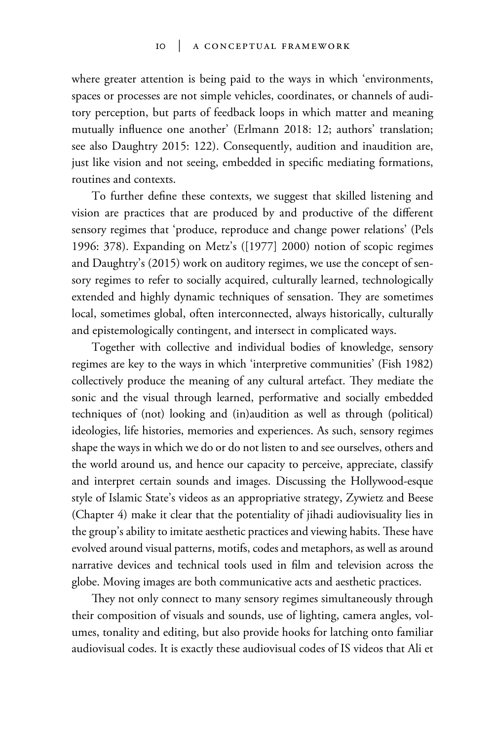where greater attention is being paid to the ways in which 'environments, spaces or processes are not simple vehicles, coordinates, or channels of auditory perception, but parts of feedback loops in which matter and meaning mutually influence one another' (Erlmann 2018: 12; authors' translation; see also Daughtry 2015: 122). Consequently, audition and inaudition are, just like vision and not seeing, embedded in specific mediating formations, routines and contexts.

To further define these contexts, we suggest that skilled listening and vision are practices that are produced by and productive of the different sensory regimes that 'produce, reproduce and change power relations' (Pels 1996: 378). Expanding on Metz's ([1977] 2000) notion of scopic regimes and Daughtry's (2015) work on auditory regimes, we use the concept of sensory regimes to refer to socially acquired, culturally learned, technologically extended and highly dynamic techniques of sensation. They are sometimes local, sometimes global, often interconnected, always historically, culturally and epistemologically contingent, and intersect in complicated ways.

Together with collective and individual bodies of knowledge, sensory regimes are key to the ways in which 'interpretive communities' (Fish 1982) collectively produce the meaning of any cultural artefact. They mediate the sonic and the visual through learned, performative and socially embedded techniques of (not) looking and (in)audition as well as through (political) ideologies, life histories, memories and experiences. As such, sensory regimes shape the ways in which we do or do not listen to and see ourselves, others and the world around us, and hence our capacity to perceive, appreciate, classify and interpret certain sounds and images. Discussing the Hollywood-esque style of Islamic State's videos as an appropriative strategy, Zywietz and Beese (Chapter 4) make it clear that the potentiality of jihadi audiovisuality lies in the group's ability to imitate aesthetic practices and viewing habits. These have evolved around visual patterns, motifs, codes and metaphors, as well as around narrative devices and technical tools used in film and television across the globe. Moving images are both communicative acts and aesthetic practices.

They not only connect to many sensory regimes simultaneously through their composition of visuals and sounds, use of lighting, camera angles, volumes, tonality and editing, but also provide hooks for latching onto familiar audiovisual codes. It is exactly these audiovisual codes of IS videos that Ali et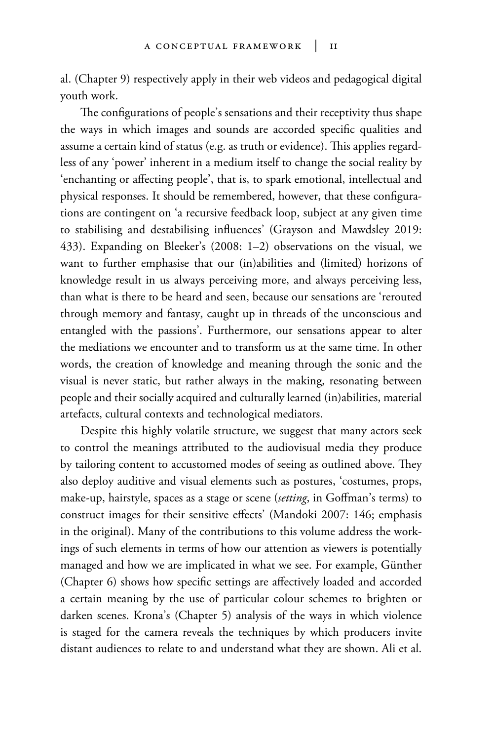al. (Chapter 9) respectively apply in their web videos and pedagogical digital youth work.

The configurations of people's sensations and their receptivity thus shape the ways in which images and sounds are accorded specific qualities and assume a certain kind of status (e.g. as truth or evidence). This applies regardless of any 'power' inherent in a medium itself to change the social reality by 'enchanting or affecting people', that is, to spark emotional, intellectual and physical responses. It should be remembered, however, that these configurations are contingent on 'a recursive feedback loop, subject at any given time to stabilising and destabilising influences' (Grayson and Mawdsley 2019: 433). Expanding on Bleeker's (2008: 1–2) observations on the visual, we want to further emphasise that our (in)abilities and (limited) horizons of knowledge result in us always perceiving more, and always perceiving less, than what is there to be heard and seen, because our sensations are 'rerouted through memory and fantasy, caught up in threads of the unconscious and entangled with the passions'. Furthermore, our sensations appear to alter the mediations we encounter and to transform us at the same time. In other words, the creation of knowledge and meaning through the sonic and the visual is never static, but rather always in the making, resonating between people and their socially acquired and culturally learned (in)abilities, material artefacts, cultural contexts and technological mediators.

Despite this highly volatile structure, we suggest that many actors seek to control the meanings attributed to the audiovisual media they produce by tailoring content to accustomed modes of seeing as outlined above. They also deploy auditive and visual elements such as postures, 'costumes, props, make-up, hairstyle, spaces as a stage or scene (*setting*, in Goffman's terms) to construct images for their sensitive effects' (Mandoki 2007: 146; emphasis in the original). Many of the contributions to this volume address the workings of such elements in terms of how our attention as viewers is potentially managed and how we are implicated in what we see. For example, Günther (Chapter 6) shows how specific settings are affectively loaded and accorded a certain meaning by the use of particular colour schemes to brighten or darken scenes. Krona's (Chapter 5) analysis of the ways in which violence is staged for the camera reveals the techniques by which producers invite distant audiences to relate to and understand what they are shown. Ali et al.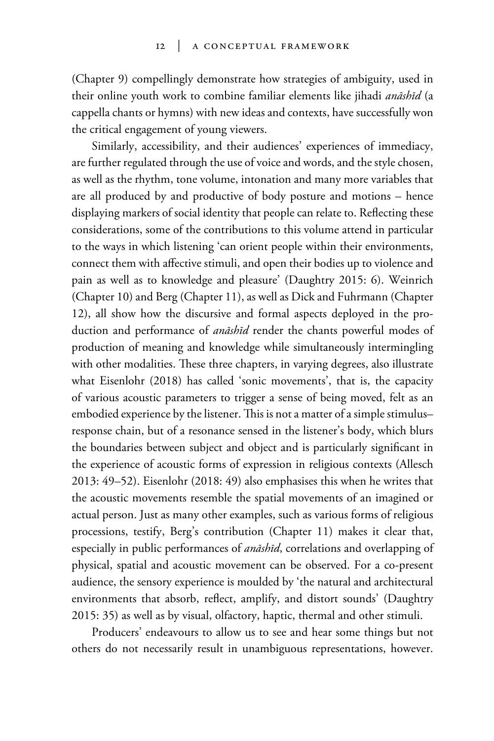(Chapter 9) compellingly demonstrate how strategies of ambiguity, used in their online youth work to combine familiar elements like jihadi *anāshīd* (a cappella chants or hymns) with new ideas and contexts, have successfully won the critical engagement of young viewers.

Similarly, accessibility, and their audiences' experiences of immediacy, are further regulated through the use of voice and words, and the style chosen, as well as the rhythm, tone volume, intonation and many more variables that are all produced by and productive of body posture and motions – hence displaying markers of social identity that people can relate to. Reflecting these considerations, some of the contributions to this volume attend in particular to the ways in which listening 'can orient people within their environments, connect them with affective stimuli, and open their bodies up to violence and pain as well as to knowledge and pleasure' (Daughtry 2015: 6). Weinrich (Chapter 10) and Berg (Chapter 11), as well as Dick and Fuhrmann (Chapter 12), all show how the discursive and formal aspects deployed in the production and performance of *anāshīd* render the chants powerful modes of production of meaning and knowledge while simultaneously intermingling with other modalities. These three chapters, in varying degrees, also illustrate what Eisenlohr (2018) has called 'sonic movements', that is, the capacity of various acoustic parameters to trigger a sense of being moved, felt as an embodied experience by the listener. This is not a matter of a simple stimulus– response chain, but of a resonance sensed in the listener's body, which blurs the boundaries between subject and object and is particularly significant in the experience of acoustic forms of expression in religious contexts (Allesch 2013: 49–52). Eisenlohr (2018: 49) also emphasises this when he writes that the acoustic movements resemble the spatial movements of an imagined or actual person. Just as many other examples, such as various forms of religious processions, testify, Berg's contribution (Chapter 11) makes it clear that, especially in public performances of *anāshīd*, correlations and overlapping of physical, spatial and acoustic movement can be observed. For a co-present audience, the sensory experience is moulded by 'the natural and architectural environments that absorb, reflect, amplify, and distort sounds' (Daughtry 2015: 35) as well as by visual, olfactory, haptic, thermal and other stimuli.

Producers' endeavours to allow us to see and hear some things but not others do not necessarily result in unambiguous representations, however.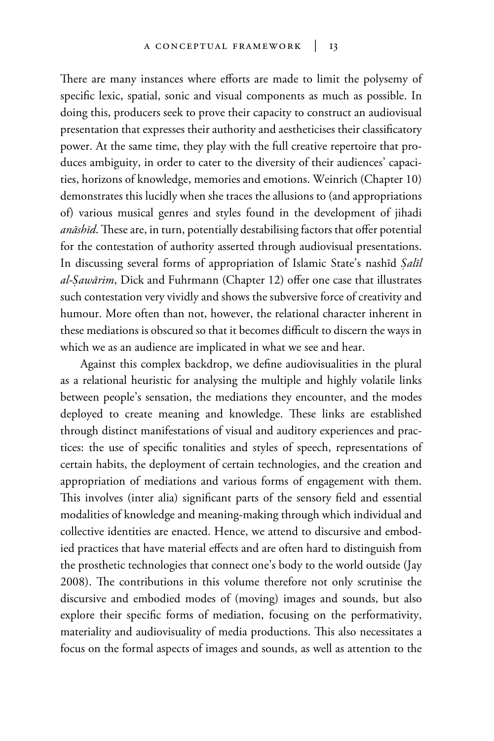There are many instances where efforts are made to limit the polysemy of specific lexic, spatial, sonic and visual components as much as possible. In doing this, producers seek to prove their capacity to construct an audiovisual presentation that expresses their authority and aestheticises their classificatory power. At the same time, they play with the full creative repertoire that produces ambiguity, in order to cater to the diversity of their audiences' capacities, horizons of knowledge, memories and emotions. Weinrich (Chapter 10) demonstrates this lucidly when she traces the allusions to (and appropriations of) various musical genres and styles found in the development of jihadi *anāshīd*. These are, in turn, potentially destabilising factors that offer potential for the contestation of authority asserted through audiovisual presentations. In discussing several forms of appropriation of Islamic State's nashīd *Íalīl al-Íawārim*, Dick and Fuhrmann (Chapter 12) offer one case that illustrates such contestation very vividly and shows the subversive force of creativity and humour. More often than not, however, the relational character inherent in these mediations is obscured so that it becomes difficult to discern the ways in which we as an audience are implicated in what we see and hear.

Against this complex backdrop, we define audiovisualities in the plural as a relational heuristic for analysing the multiple and highly volatile links between people's sensation, the mediations they encounter, and the modes deployed to create meaning and knowledge. These links are established through distinct manifestations of visual and auditory experiences and practices: the use of specific tonalities and styles of speech, representations of certain habits, the deployment of certain technologies, and the creation and appropriation of mediations and various forms of engagement with them. This involves (inter alia) significant parts of the sensory field and essential modalities of knowledge and meaning-making through which individual and collective identities are enacted. Hence, we attend to discursive and embodied practices that have material effects and are often hard to distinguish from the prosthetic technologies that connect one's body to the world outside (Jay 2008). The contributions in this volume therefore not only scrutinise the discursive and embodied modes of (moving) images and sounds, but also explore their specific forms of mediation, focusing on the performativity, materiality and audiovisuality of media productions. This also necessitates a focus on the formal aspects of images and sounds, as well as attention to the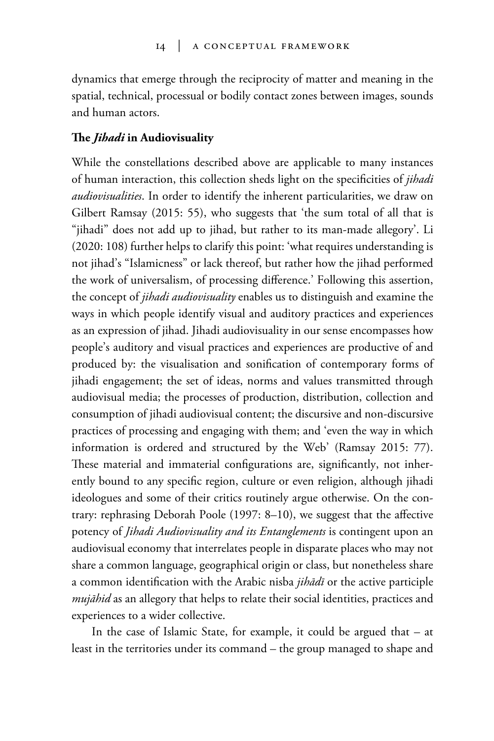dynamics that emerge through the reciprocity of matter and meaning in the spatial, technical, processual or bodily contact zones between images, sounds and human actors.

## **The** *Jihadi* **in Audiovisuality**

While the constellations described above are applicable to many instances of human interaction, this collection sheds light on the specificities of *jihadi audiovisualities*. In order to identify the inherent particularities, we draw on Gilbert Ramsay (2015: 55), who suggests that 'the sum total of all that is "jihadi" does not add up to jihad, but rather to its man-made allegory'. Li (2020: 108) further helps to clarify this point: 'what requires understanding is not jihad's "Islamicness" or lack thereof, but rather how the jihad performed the work of universalism, of processing difference.' Following this assertion, the concept of *jihadi audiovisuality* enables us to distinguish and examine the ways in which people identify visual and auditory practices and experiences as an expression of jihad. Jihadi audiovisuality in our sense encompasses how people's auditory and visual practices and experiences are productive of and produced by: the visualisation and sonification of contemporary forms of jihadi engagement; the set of ideas, norms and values transmitted through audiovisual media; the processes of production, distribution, collection and consumption of jihadi audiovisual content; the discursive and non-discursive practices of processing and engaging with them; and 'even the way in which information is ordered and structured by the Web' (Ramsay 2015: 77). These material and immaterial configurations are, significantly, not inherently bound to any specific region, culture or even religion, although jihadi ideologues and some of their critics routinely argue otherwise. On the contrary: rephrasing Deborah Poole (1997: 8–10), we suggest that the affective potency of *Jihadi Audiovisuality and its Entanglements* is contingent upon an audiovisual economy that interrelates people in disparate places who may not share a common language, geographical origin or class, but nonetheless share a common identification with the Arabic nisba *jihādī* or the active participle *mujāhid* as an allegory that helps to relate their social identities, practices and experiences to a wider collective.

In the case of Islamic State, for example, it could be argued that – at least in the territories under its command – the group managed to shape and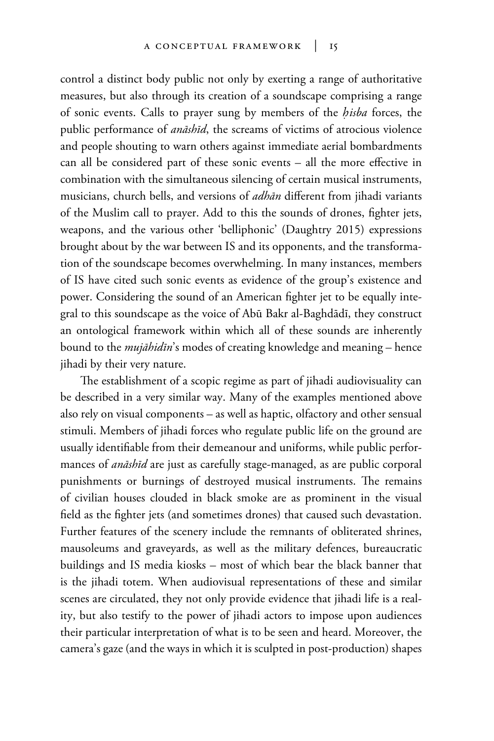control a distinct body public not only by exerting a range of authoritative measures, but also through its creation of a soundscape comprising a range of sonic events. Calls to prayer sung by members of the *hisba* forces, the public performance of *anāshīd*, the screams of victims of atrocious violence and people shouting to warn others against immediate aerial bombardments can all be considered part of these sonic events – all the more effective in combination with the simultaneous silencing of certain musical instruments, musicians, church bells, and versions of *adhān* different from jihadi variants of the Muslim call to prayer. Add to this the sounds of drones, fighter jets, weapons, and the various other 'belliphonic' (Daughtry 2015) expressions brought about by the war between IS and its opponents, and the transformation of the soundscape becomes overwhelming. In many instances, members of IS have cited such sonic events as evidence of the group's existence and power. Considering the sound of an American fighter jet to be equally integral to this soundscape as the voice of Abū Bakr al-Baghdādī, they construct an ontological framework within which all of these sounds are inherently bound to the *mujāhidīn*'s modes of creating knowledge and meaning – hence jihadi by their very nature.

The establishment of a scopic regime as part of jihadi audiovisuality can be described in a very similar way. Many of the examples mentioned above also rely on visual components – as well as haptic, olfactory and other sensual stimuli. Members of jihadi forces who regulate public life on the ground are usually identifiable from their demeanour and uniforms, while public performances of *anāshīd* are just as carefully stage-managed, as are public corporal punishments or burnings of destroyed musical instruments. The remains of civilian houses clouded in black smoke are as prominent in the visual field as the fighter jets (and sometimes drones) that caused such devastation. Further features of the scenery include the remnants of obliterated shrines, mausoleums and graveyards, as well as the military defences, bureaucratic buildings and IS media kiosks – most of which bear the black banner that is the jihadi totem. When audiovisual representations of these and similar scenes are circulated, they not only provide evidence that jihadi life is a reality, but also testify to the power of jihadi actors to impose upon audiences their particular interpretation of what is to be seen and heard. Moreover, the camera's gaze (and the ways in which it is sculpted in post-production) shapes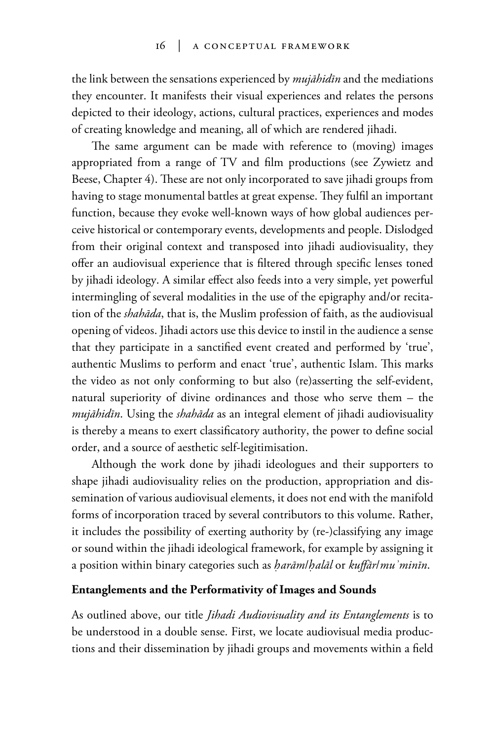the link between the sensations experienced by *mujāhidīn* and the mediations they encounter. It manifests their visual experiences and relates the persons depicted to their ideology, actions, cultural practices, experiences and modes of creating knowledge and meaning, all of which are rendered jihadi.

The same argument can be made with reference to (moving) images appropriated from a range of TV and film productions (see Zywietz and Beese, Chapter 4). These are not only incorporated to save jihadi groups from having to stage monumental battles at great expense. They fulfil an important function, because they evoke well-known ways of how global audiences perceive historical or contemporary events, developments and people. Dislodged from their original context and transposed into jihadi audiovisuality, they offer an audiovisual experience that is filtered through specific lenses toned by jihadi ideology. A similar effect also feeds into a very simple, yet powerful intermingling of several modalities in the use of the epigraphy and/or recitation of the *shahāda*, that is, the Muslim profession of faith, as the audiovisual opening of videos. Jihadi actors use this device to instil in the audience a sense that they participate in a sanctified event created and performed by 'true', authentic Muslims to perform and enact 'true', authentic Islam. This marks the video as not only conforming to but also (re)asserting the self-evident, natural superiority of divine ordinances and those who serve them – the *mujāhidīn*. Using the *shahāda* as an integral element of jihadi audiovisuality is thereby a means to exert classificatory authority, the power to define social order, and a source of aesthetic self-legitimisation.

Although the work done by jihadi ideologues and their supporters to shape jihadi audiovisuality relies on the production, appropriation and dissemination of various audiovisual elements, it does not end with the manifold forms of incorporation traced by several contributors to this volume. Rather, it includes the possibility of exerting authority by (re-)classifying any image or sound within the jihadi ideological framework, for example by assigning it a position within binary categories such as *harām/halāl* or *kuffār/mu<sup>2</sup>minīn*.

## **Entanglements and the Performativity of Images and Sounds**

As outlined above, our title *Jihadi Audiovisuality and its Entanglements* is to be understood in a double sense. First, we locate audiovisual media productions and their dissemination by jihadi groups and movements within a field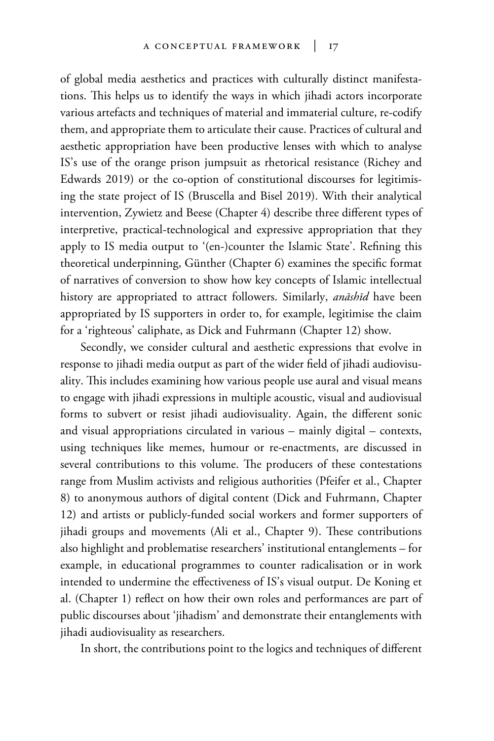of global media aesthetics and practices with culturally distinct manifestations. This helps us to identify the ways in which jihadi actors incorporate various artefacts and techniques of material and immaterial culture, re-codify them, and appropriate them to articulate their cause. Practices of cultural and aesthetic appropriation have been productive lenses with which to analyse IS's use of the orange prison jumpsuit as rhetorical resistance (Richey and Edwards 2019) or the co-option of constitutional discourses for legitimising the state project of IS (Bruscella and Bisel 2019). With their analytical intervention, Zywietz and Beese (Chapter 4) describe three different types of interpretive, practical-technological and expressive appropriation that they apply to IS media output to '(en-)counter the Islamic State'. Refining this theoretical underpinning, Günther (Chapter 6) examines the specific format of narratives of conversion to show how key concepts of Islamic intellectual history are appropriated to attract followers. Similarly, *anāshīd* have been appropriated by IS supporters in order to, for example, legitimise the claim for a 'righteous' caliphate, as Dick and Fuhrmann (Chapter 12) show.

Secondly, we consider cultural and aesthetic expressions that evolve in response to jihadi media output as part of the wider field of jihadi audiovisuality. This includes examining how various people use aural and visual means to engage with jihadi expressions in multiple acoustic, visual and audiovisual forms to subvert or resist jihadi audiovisuality. Again, the different sonic and visual appropriations circulated in various – mainly digital – contexts, using techniques like memes, humour or re-enactments, are discussed in several contributions to this volume. The producers of these contestations range from Muslim activists and religious authorities (Pfeifer et al., Chapter 8) to anonymous authors of digital content (Dick and Fuhrmann, Chapter 12) and artists or publicly-funded social workers and former supporters of jihadi groups and movements (Ali et al., Chapter 9). These contributions also highlight and problematise researchers' institutional entanglements – for example, in educational programmes to counter radicalisation or in work intended to undermine the effectiveness of IS's visual output. De Koning et al. (Chapter 1) reflect on how their own roles and performances are part of public discourses about 'jihadism' and demonstrate their entanglements with jihadi audiovisuality as researchers.

In short, the contributions point to the logics and techniques of different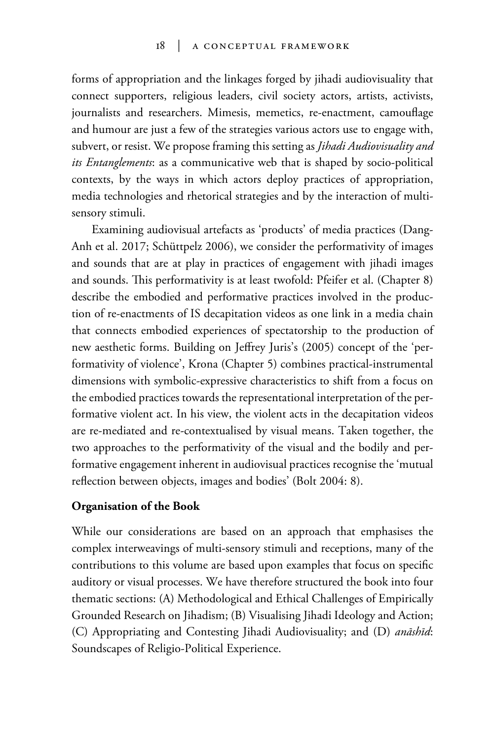forms of appropriation and the linkages forged by jihadi audiovisuality that connect supporters, religious leaders, civil society actors, artists, activists, journalists and researchers. Mimesis, memetics, re-enactment, camouflage and humour are just a few of the strategies various actors use to engage with, subvert, or resist. We propose framing this setting as *Jihadi Audiovisuality and its Entanglements*: as a communicative web that is shaped by socio-political contexts, by the ways in which actors deploy practices of appropriation, media technologies and rhetorical strategies and by the interaction of multisensory stimuli.

Examining audiovisual artefacts as 'products' of media practices (Dang-Anh et al. 2017; Schüttpelz 2006), we consider the performativity of images and sounds that are at play in practices of engagement with jihadi images and sounds. This performativity is at least twofold: Pfeifer et al. (Chapter 8) describe the embodied and performative practices involved in the production of re-enactments of IS decapitation videos as one link in a media chain that connects embodied experiences of spectatorship to the production of new aesthetic forms. Building on Jeffrey Juris's (2005) concept of the 'performativity of violence', Krona (Chapter 5) combines practical-instrumental dimensions with symbolic-expressive characteristics to shift from a focus on the embodied practices towards the representational interpretation of the performative violent act. In his view, the violent acts in the decapitation videos are re-mediated and re-contextualised by visual means. Taken together, the two approaches to the performativity of the visual and the bodily and performative engagement inherent in audiovisual practices recognise the 'mutual reflection between objects, images and bodies' (Bolt 2004: 8).

#### **Organisation of the Book**

While our considerations are based on an approach that emphasises the complex interweavings of multi-sensory stimuli and receptions, many of the contributions to this volume are based upon examples that focus on specific auditory or visual processes. We have therefore structured the book into four thematic sections: (A) Methodological and Ethical Challenges of Empirically Grounded Research on Jihadism; (B) Visualising Jihadi Ideology and Action; (C) Appropriating and Contesting Jihadi Audiovisuality; and (D) *anāshīd*: Soundscapes of Religio-Political Experience.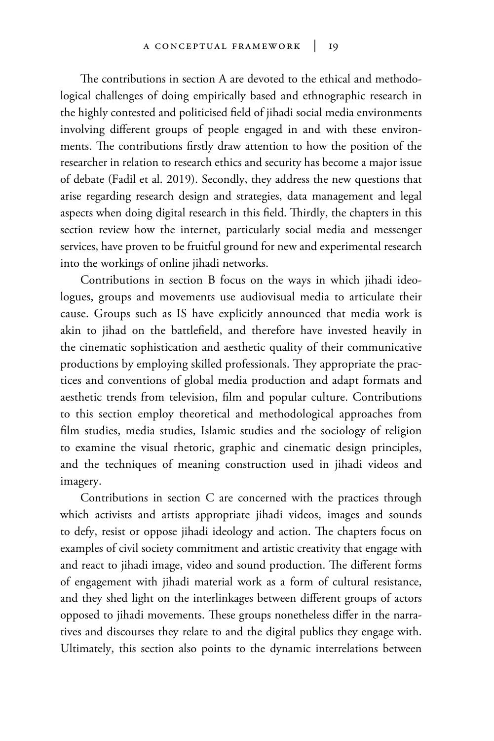The contributions in section A are devoted to the ethical and methodological challenges of doing empirically based and ethnographic research in the highly contested and politicised field of jihadi social media environments involving different groups of people engaged in and with these environments. The contributions firstly draw attention to how the position of the researcher in relation to research ethics and security has become a major issue of debate (Fadil et al. 2019). Secondly, they address the new questions that arise regarding research design and strategies, data management and legal aspects when doing digital research in this field. Thirdly, the chapters in this section review how the internet, particularly social media and messenger services, have proven to be fruitful ground for new and experimental research into the workings of online jihadi networks.

Contributions in section B focus on the ways in which jihadi ideologues, groups and movements use audiovisual media to articulate their cause. Groups such as IS have explicitly announced that media work is akin to jihad on the battlefield, and therefore have invested heavily in the cinematic sophistication and aesthetic quality of their communicative productions by employing skilled professionals. They appropriate the practices and conventions of global media production and adapt formats and aesthetic trends from television, film and popular culture. Contributions to this section employ theoretical and methodological approaches from film studies, media studies, Islamic studies and the sociology of religion to examine the visual rhetoric, graphic and cinematic design principles, and the techniques of meaning construction used in jihadi videos and imagery.

Contributions in section C are concerned with the practices through which activists and artists appropriate jihadi videos, images and sounds to defy, resist or oppose jihadi ideology and action. The chapters focus on examples of civil society commitment and artistic creativity that engage with and react to jihadi image, video and sound production. The different forms of engagement with jihadi material work as a form of cultural resistance, and they shed light on the interlinkages between different groups of actors opposed to jihadi movements. These groups nonetheless differ in the narratives and discourses they relate to and the digital publics they engage with. Ultimately, this section also points to the dynamic interrelations between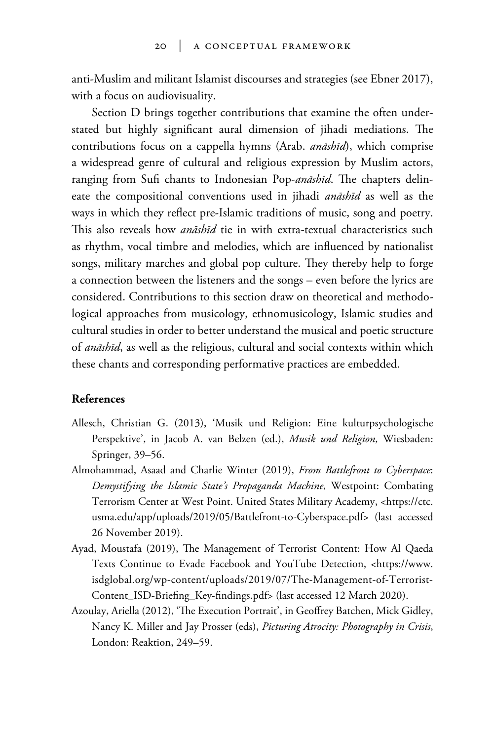anti-Muslim and militant Islamist discourses and strategies (see Ebner 2017), with a focus on audiovisuality.

Section D brings together contributions that examine the often understated but highly significant aural dimension of jihadi mediations. The contributions focus on a cappella hymns (Arab. *anāshīd*), which comprise a widespread genre of cultural and religious expression by Muslim actors, ranging from Sufi chants to Indonesian Pop-*anāshīd*. The chapters delineate the compositional conventions used in jihadi *anāshīd* as well as the ways in which they reflect pre-Islamic traditions of music, song and poetry. This also reveals how *anāshīd* tie in with extra-textual characteristics such as rhythm, vocal timbre and melodies, which are influenced by nationalist songs, military marches and global pop culture. They thereby help to forge a connection between the listeners and the songs – even before the lyrics are considered. Contributions to this section draw on theoretical and methodological approaches from musicology, ethnomusicology, Islamic studies and cultural studies in order to better understand the musical and poetic structure of *anāshīd*, as well as the religious, cultural and social contexts within which these chants and corresponding performative practices are embedded.

## **References**

- Allesch, Christian G. (2013), 'Musik und Religion: Eine kulturpsychologische Perspektive', in Jacob A. van Belzen (ed.), *Musik und Religion*, Wiesbaden: Springer, 39–56.
- Almohammad, Asaad and Charlie Winter (2019), *From Battlefront to Cyberspace*: *Demystifying the Islamic State's Propaganda Machine*, Westpoint: Combating Terrorism Center at West Point. United States Military Academy, <https://ctc. usma.edu/app/uploads/2019/05/Battlefront-to-Cyberspace.pdf> (last accessed 26 November 2019).
- Ayad, Moustafa (2019), The Management of Terrorist Content: How Al Qaeda Texts Continue to Evade Facebook and YouTube Detection, <https://www. isdglobal.org/wp-content/uploads/2019/07/The-Management-of-Terrorist-Content\_ISD-Briefing\_Key-findings.pdf> (last accessed 12 March 2020).
- Azoulay, Ariella (2012), 'The Execution Portrait', in Geoffrey Batchen, Mick Gidley, Nancy K. Miller and Jay Prosser (eds), *Picturing Atrocity: Photography in Crisis*, London: Reaktion, 249–59.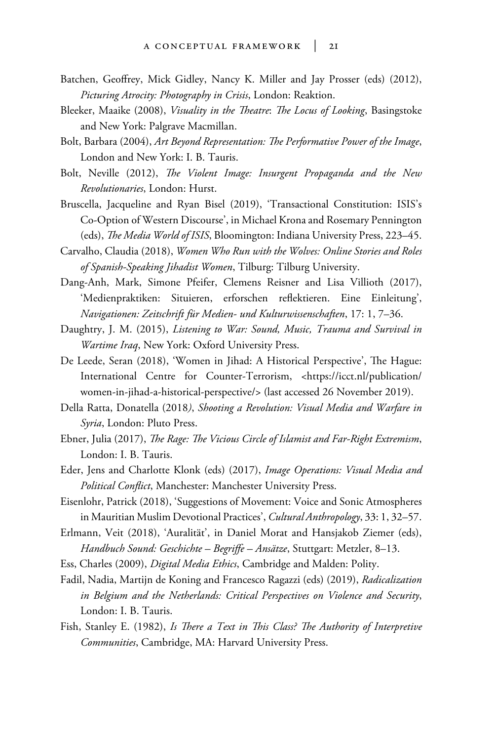- Batchen, Geoffrey, Mick Gidley, Nancy K. Miller and Jay Prosser (eds) (2012), *Picturing Atrocity: Photography in Crisis*, London: Reaktion.
- Bleeker, Maaike (2008), *Visuality in the Theatre*: *The Locus of Looking*, Basingstoke and New York: Palgrave Macmillan.
- Bolt, Barbara (2004), *Art Beyond Representation: The Performative Power of the Image*, London and New York: I. B. Tauris.
- Bolt, Neville (2012), *The Violent Image: Insurgent Propaganda and the New Revolutionaries*, London: Hurst.
- Bruscella, Jacqueline and Ryan Bisel (2019), 'Transactional Constitution: ISIS's Co-Option of Western Discourse', in Michael Krona and Rosemary Pennington (eds), *The Media World of ISIS*, Bloomington: Indiana University Press, 223–45.
- Carvalho, Claudia (2018), *Women Who Run with the Wolves: Online Stories and Roles of Spanish-Speaking Jihadist Women*, Tilburg: Tilburg University.
- Dang-Anh, Mark, Simone Pfeifer, Clemens Reisner and Lisa Villioth (2017), 'Medienpraktiken: Situieren, erforschen reflektieren. Eine Einleitung', *Navigationen: Zeitschrift für Medien- und Kulturwissenschaften*, 17: 1, 7–36.
- Daughtry, J. M. (2015), *Listening to War: Sound, Music, Trauma and Survival in Wartime Iraq*, New York: Oxford University Press.
- De Leede, Seran (2018), 'Women in Jihad: A Historical Perspective', The Hague: International Centre for Counter-Terrorism, <https://icct.nl/publication/ women-in-jihad-a-historical-perspective/> (last accessed 26 November 2019).
- Della Ratta, Donatella (2018*)*, *Shooting a Revolution: Visual Media and Warfare in Syria*, London: Pluto Press.
- Ebner, Julia (2017), *The Rage: The Vicious Circle of Islamist and Far-Right Extremism*, London: I. B. Tauris.
- Eder, Jens and Charlotte Klonk (eds) (2017), *Image Operations: Visual Media and Political Conflict*, Manchester: Manchester University Press.
- Eisenlohr, Patrick (2018), 'Suggestions of Movement: Voice and Sonic Atmospheres in Mauritian Muslim Devotional Practices', *Cultural Anthropology*, 33: 1, 32–57.
- Erlmann, Veit (2018), 'Auralität', in Daniel Morat and Hansjakob Ziemer (eds), *Handbuch Sound: Geschichte – Begriffe – Ansätze*, Stuttgart: Metzler, 8–13.
- Ess, Charles (2009), *Digital Media Ethics*, Cambridge and Malden: Polity.
- Fadil, Nadia, Martijn de Koning and Francesco Ragazzi (eds) (2019), *Radicalization in Belgium and the Netherlands: Critical Perspectives on Violence and Security*, London: I. B. Tauris.
- Fish, Stanley E. (1982), *Is There a Text in This Class? The Authority of Interpretive Communities*, Cambridge, MA: Harvard University Press.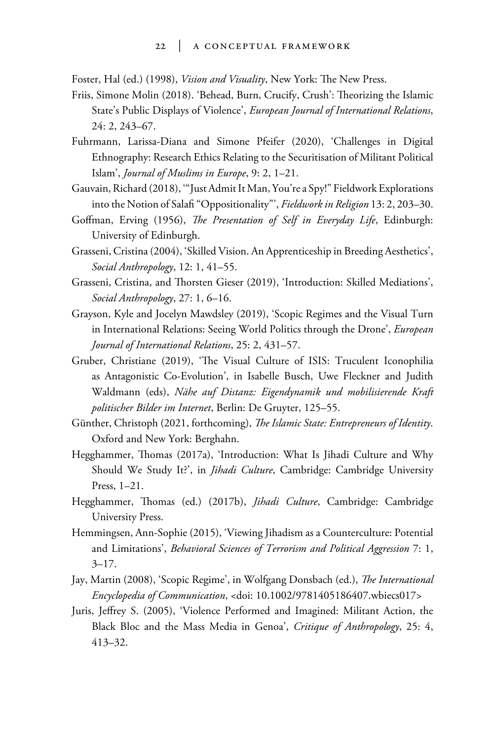Foster, Hal (ed.) (1998), *Vision and Visuality*, New York: The New Press.

- Friis, Simone Molin (2018). 'Behead, Burn, Crucify, Crush': Theorizing the Islamic State's Public Displays of Violence', *European Journal of International Relations*, 24: 2, 243–67.
- Fuhrmann, Larissa-Diana and Simone Pfeifer (2020), 'Challenges in Digital Ethnography: Research Ethics Relating to the Securitisation of Militant Political Islam', *Journal of Muslims in Europe*, 9: 2, 1–21.
- Gauvain, Richard (2018), '"Just Admit It Man, You're a Spy!" Fieldwork Explorations into the Notion of Salafi "Oppositionality"', *Fieldwork in Religion* 13: 2, 203–30.
- Goffman, Erving (1956), *The Presentation of Self in Everyday Life*, Edinburgh: University of Edinburgh.
- Grasseni, Cristina (2004), 'Skilled Vision. An Apprenticeship in Breeding Aesthetics', *Social Anthropology*, 12: 1, 41–55.
- Grasseni, Cristina, and Thorsten Gieser (2019), 'Introduction: Skilled Mediations', *Social Anthropology*, 27: 1, 6–16.
- Grayson, Kyle and Jocelyn Mawdsley (2019), 'Scopic Regimes and the Visual Turn in International Relations: Seeing World Politics through the Drone', *European Journal of International Relations*, 25: 2, 431–57.
- Gruber, Christiane (2019), 'The Visual Culture of ISIS: Truculent Iconophilia as Antagonistic Co-Evolution', in Isabelle Busch, Uwe Fleckner and Judith Waldmann (eds), *Nähe auf Distanz: Eigendynamik und mobilisierende Kraft politischer Bilder im Internet*, Berlin: De Gruyter, 125–55.
- Günther, Christoph (2021, forthcoming), *The Islamic State: Entrepreneurs of Identity*. Oxford and New York: Berghahn.
- Hegghammer, Thomas (2017a), 'Introduction: What Is Jihadi Culture and Why Should We Study It?', in *Jihadi Culture*, Cambridge: Cambridge University Press, 1–21.
- Hegghammer, Thomas (ed.) (2017b), *Jihadi Culture*, Cambridge: Cambridge University Press.
- Hemmingsen, Ann-Sophie (2015), 'Viewing Jihadism as a Counterculture: Potential and Limitations', *Behavioral Sciences of Terrorism and Political Aggression* 7: 1,  $3 - 17$ .
- Jay, Martin (2008), 'Scopic Regime', in Wolfgang Donsbach (ed.), *The International Encyclopedia of Communication*, <doi: 10.1002/9781405186407.wbiecs017>
- Juris, Jeffrey S. (2005), 'Violence Performed and Imagined: Militant Action, the Black Bloc and the Mass Media in Genoa', *Critique of Anthropology*, 25: 4, 413–32.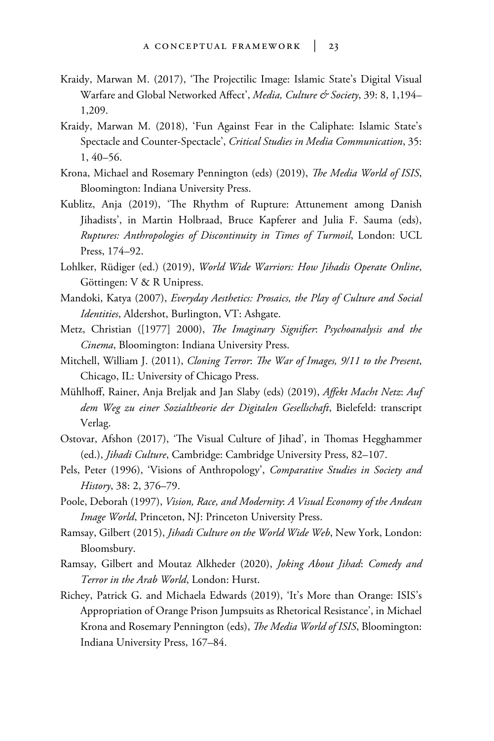- Kraidy, Marwan M. (2017), 'The Projectilic Image: Islamic State's Digital Visual Warfare and Global Networked Affect', *Media, Culture & Society*, 39: 8, 1,194-1,209.
- Kraidy, Marwan M. (2018), 'Fun Against Fear in the Caliphate: Islamic State's Spectacle and Counter-Spectacle', *Critical Studies in Media Communication*, 35: 1, 40–56.
- Krona, Michael and Rosemary Pennington (eds) (2019), *The Media World of ISIS*, Bloomington: Indiana University Press.
- Kublitz, Anja (2019), 'The Rhythm of Rupture: Attunement among Danish Jihadists', in Martin Holbraad, Bruce Kapferer and Julia F. Sauma (eds), *Ruptures: Anthropologies of Discontinuity in Times of Turmoil*, London: UCL Press, 174–92.
- Lohlker, Rüdiger (ed.) (2019), *World Wide Warriors: How Jihadis Operate Online*, Göttingen: V & R Unipress.
- Mandoki, Katya (2007), *Everyday Aesthetics: Prosaics, the Play of Culture and Social Identities*, Aldershot, Burlington, VT: Ashgate.
- Metz, Christian ([1977] 2000), *The Imaginary Signifier*: *Psychoanalysis and the Cinema*, Bloomington: Indiana University Press.
- Mitchell, William J. (2011), *Cloning Terror*: *The War of Images, 9/11 to the Present*, Chicago, IL: University of Chicago Press.
- Mühlhoff, Rainer, Anja Breljak and Jan Slaby (eds) (2019), *Affekt Macht Netz*: *Auf dem Weg zu einer Sozialtheorie der Digitalen Gesellschaft*, Bielefeld: transcript Verlag.
- Ostovar, Afshon (2017), 'The Visual Culture of Jihad', in Thomas Hegghammer (ed.), *Jihadi Culture*, Cambridge: Cambridge University Press, 82–107.
- Pels, Peter (1996), 'Visions of Anthropology', *Comparative Studies in Society and History*, 38: 2, 376–79.
- Poole, Deborah (1997), *Vision, Race, and Modernity*: *A Visual Economy of the Andean Image World*, Princeton, NJ: Princeton University Press.
- Ramsay, Gilbert (2015), *Jihadi Culture on the World Wide Web*, New York, London: Bloomsbury.
- Ramsay, Gilbert and Moutaz Alkheder (2020), *Joking About Jihad*: *Comedy and Terror in the Arab World*, London: Hurst.
- Richey, Patrick G. and Michaela Edwards (2019), 'It's More than Orange: ISIS's Appropriation of Orange Prison Jumpsuits as Rhetorical Resistance', in Michael Krona and Rosemary Pennington (eds), *The Media World of ISIS*, Bloomington: Indiana University Press, 167–84.